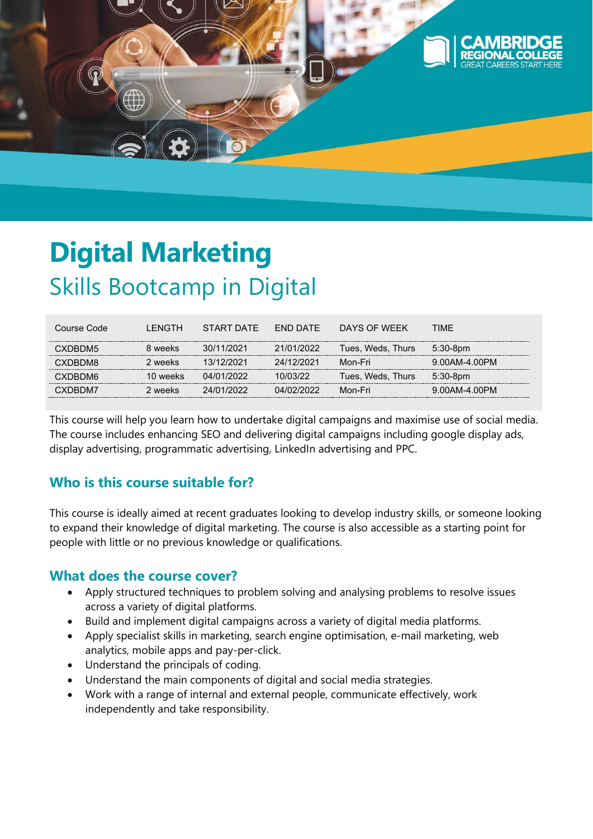

# **Digital Marketing**  Skills Bootcamp in Digital

| Course Code    | I FNGTH. | START DATF | <b>FND DATE</b> | DAYS OF WFFK      | <b>TIMF</b>   |
|----------------|----------|------------|-----------------|-------------------|---------------|
| CXDBDM5        | 8 weeks  | 30/11/2021 | 21/01/2022      | Tues, Weds, Thurs | $5:30-8$ pm   |
| <b>CXDBDM8</b> | 2 weeks  | 13/12/2021 | 24/12/2021      | Mon-Fri           | 9.00AM-4.00PM |
| CXDBDM6        | 10 weeks | 04/01/2022 | 10/03/22        | Tues, Weds, Thurs | $5:30-8pm$    |
| CXDBDM7        | 2 weeks  | 24/01/2022 | 04/02/2022      | Mon-Fri           | 9.00AM-4.00PM |

This course will help you learn how to undertake digital campaigns and maximise use of social media. The course includes enhancing SEO and delivering digital campaigns including google display ads, display advertising, programmatic advertising, LinkedIn advertising and PPC.

# **Who is this course suitable for?**

This course is ideally aimed at recent graduates looking to develop industry skills, or someone looking to expand their knowledge of digital marketing. The course is also accessible as a starting point for people with little or no previous knowledge or qualifications.

### **What does the course cover?**

- Apply structured techniques to problem solving and analysing problems to resolve issues across a variety of digital platforms.
- Build and implement digital campaigns across a variety of digital media platforms.
- Apply specialist skills in marketing, search engine optimisation, e-mail marketing, web analytics, mobile apps and pay-per-click.
- Understand the principals of coding.
- Understand the main components of digital and social media strategies.
- Work with a range of internal and external people, communicate effectively, work independently and take responsibility.